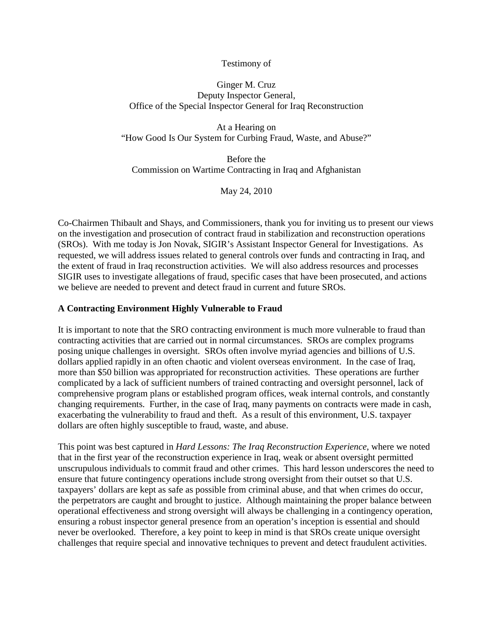# Testimony of

# Ginger M. Cruz Deputy Inspector General, Office of the Special Inspector General for Iraq Reconstruction

At a Hearing on "How Good Is Our System for Curbing Fraud, Waste, and Abuse?"

Before the Commission on Wartime Contracting in Iraq and Afghanistan

May 24, 2010

Co-Chairmen Thibault and Shays, and Commissioners, thank you for inviting us to present our views on the investigation and prosecution of contract fraud in stabilization and reconstruction operations (SROs). With me today is Jon Novak, SIGIR's Assistant Inspector General for Investigations. As requested, we will address issues related to general controls over funds and contracting in Iraq, and the extent of fraud in Iraq reconstruction activities. We will also address resources and processes SIGIR uses to investigate allegations of fraud, specific cases that have been prosecuted, and actions we believe are needed to prevent and detect fraud in current and future SROs.

# **A Contracting Environment Highly Vulnerable to Fraud**

It is important to note that the SRO contracting environment is much more vulnerable to fraud than contracting activities that are carried out in normal circumstances. SROs are complex programs posing unique challenges in oversight. SROs often involve myriad agencies and billions of U.S. dollars applied rapidly in an often chaotic and violent overseas environment. In the case of Iraq, more than \$50 billion was appropriated for reconstruction activities. These operations are further complicated by a lack of sufficient numbers of trained contracting and oversight personnel, lack of comprehensive program plans or established program offices, weak internal controls, and constantly changing requirements. Further, in the case of Iraq, many payments on contracts were made in cash, exacerbating the vulnerability to fraud and theft. As a result of this environment, U.S. taxpayer dollars are often highly susceptible to fraud, waste, and abuse.

This point was best captured in *Hard Lessons: The Iraq Reconstruction Experience*, where we noted that in the first year of the reconstruction experience in Iraq, weak or absent oversight permitted unscrupulous individuals to commit fraud and other crimes. This hard lesson underscores the need to ensure that future contingency operations include strong oversight from their outset so that U.S. taxpayers' dollars are kept as safe as possible from criminal abuse, and that when crimes do occur, the perpetrators are caught and brought to justice. Although maintaining the proper balance between operational effectiveness and strong oversight will always be challenging in a contingency operation, ensuring a robust inspector general presence from an operation's inception is essential and should never be overlooked. Therefore, a key point to keep in mind is that SROs create unique oversight challenges that require special and innovative techniques to prevent and detect fraudulent activities.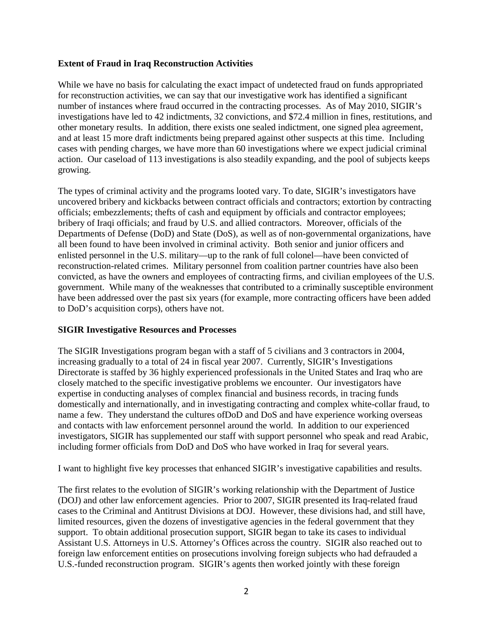# **Extent of Fraud in Iraq Reconstruction Activities**

While we have no basis for calculating the exact impact of undetected fraud on funds appropriated for reconstruction activities, we can say that our investigative work has identified a significant number of instances where fraud occurred in the contracting processes. As of May 2010, SIGIR's investigations have led to 42 indictments, 32 convictions, and \$72.4 million in fines, restitutions, and other monetary results. In addition, there exists one sealed indictment, one signed plea agreement, and at least 15 more draft indictments being prepared against other suspects at this time. Including cases with pending charges, we have more than 60 investigations where we expect judicial criminal action. Our caseload of 113 investigations is also steadily expanding, and the pool of subjects keeps growing.

The types of criminal activity and the programs looted vary. To date, SIGIR's investigators have uncovered bribery and kickbacks between contract officials and contractors; extortion by contracting officials; embezzlements; thefts of cash and equipment by officials and contractor employees; bribery of Iraqi officials; and fraud by U.S. and allied contractors. Moreover, officials of the Departments of Defense (DoD) and State (DoS), as well as of non-governmental organizations, have all been found to have been involved in criminal activity. Both senior and junior officers and enlisted personnel in the U.S. military—up to the rank of full colonel—have been convicted of reconstruction-related crimes. Military personnel from coalition partner countries have also been convicted, as have the owners and employees of contracting firms, and civilian employees of the U.S. government. While many of the weaknesses that contributed to a criminally susceptible environment have been addressed over the past six years (for example, more contracting officers have been added to DoD's acquisition corps), others have not.

### **SIGIR Investigative Resources and Processes**

The SIGIR Investigations program began with a staff of 5 civilians and 3 contractors in 2004, increasing gradually to a total of 24 in fiscal year 2007. Currently, SIGIR's Investigations Directorate is staffed by 36 highly experienced professionals in the United States and Iraq who are closely matched to the specific investigative problems we encounter. Our investigators have expertise in conducting analyses of complex financial and business records, in tracing funds domestically and internationally, and in investigating contracting and complex white-collar fraud, to name a few. They understand the cultures ofDoD and DoS and have experience working overseas and contacts with law enforcement personnel around the world. In addition to our experienced investigators, SIGIR has supplemented our staff with support personnel who speak and read Arabic, including former officials from DoD and DoS who have worked in Iraq for several years.

I want to highlight five key processes that enhanced SIGIR's investigative capabilities and results.

The first relates to the evolution of SIGIR's working relationship with the Department of Justice (DOJ) and other law enforcement agencies. Prior to 2007, SIGIR presented its Iraq-related fraud cases to the Criminal and Antitrust Divisions at DOJ. However, these divisions had, and still have, limited resources, given the dozens of investigative agencies in the federal government that they support. To obtain additional prosecution support, SIGIR began to take its cases to individual Assistant U.S. Attorneys in U.S. Attorney's Offices across the country. SIGIR also reached out to foreign law enforcement entities on prosecutions involving foreign subjects who had defrauded a U.S.-funded reconstruction program. SIGIR's agents then worked jointly with these foreign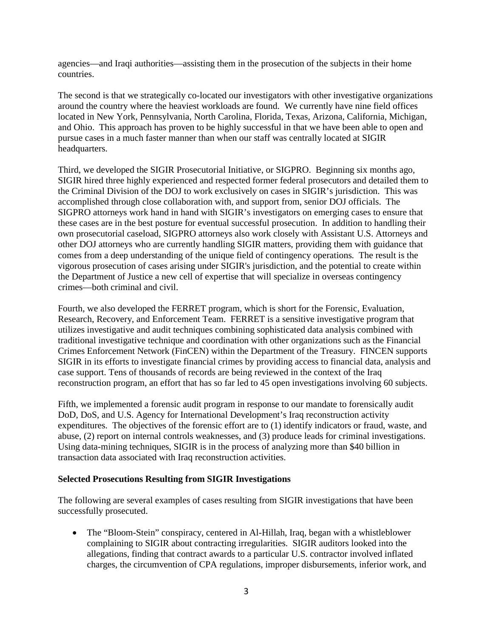agencies—and Iraqi authorities—assisting them in the prosecution of the subjects in their home countries.

The second is that we strategically co-located our investigators with other investigative organizations around the country where the heaviest workloads are found. We currently have nine field offices located in New York, Pennsylvania, North Carolina, Florida, Texas, Arizona, California, Michigan, and Ohio. This approach has proven to be highly successful in that we have been able to open and pursue cases in a much faster manner than when our staff was centrally located at SIGIR headquarters.

Third, we developed the SIGIR Prosecutorial Initiative, or SIGPRO. Beginning six months ago, SIGIR hired three highly experienced and respected former federal prosecutors and detailed them to the Criminal Division of the DOJ to work exclusively on cases in SIGIR's jurisdiction. This was accomplished through close collaboration with, and support from, senior DOJ officials. The SIGPRO attorneys work hand in hand with SIGIR's investigators on emerging cases to ensure that these cases are in the best posture for eventual successful prosecution. In addition to handling their own prosecutorial caseload, SIGPRO attorneys also work closely with Assistant U.S. Attorneys and other DOJ attorneys who are currently handling SIGIR matters, providing them with guidance that comes from a deep understanding of the unique field of contingency operations. The result is the vigorous prosecution of cases arising under SIGIR's jurisdiction, and the potential to create within the Department of Justice a new cell of expertise that will specialize in overseas contingency crimes—both criminal and civil.

Fourth, we also developed the FERRET program, which is short for the Forensic, Evaluation, Research, Recovery, and Enforcement Team. FERRET is a sensitive investigative program that utilizes investigative and audit techniques combining sophisticated data analysis combined with traditional investigative technique and coordination with other organizations such as the Financial Crimes Enforcement Network (FinCEN) within the Department of the Treasury. FINCEN supports SIGIR in its efforts to investigate financial crimes by providing access to financial data, analysis and case support. Tens of thousands of records are being reviewed in the context of the Iraq reconstruction program, an effort that has so far led to 45 open investigations involving 60 subjects.

Fifth, we implemented a forensic audit program in response to our mandate to forensically audit DoD, DoS, and U.S. Agency for International Development's Iraq reconstruction activity expenditures. The objectives of the forensic effort are to (1) identify indicators or fraud, waste, and abuse, (2) report on internal controls weaknesses, and (3) produce leads for criminal investigations. Using data-mining techniques, SIGIR is in the process of analyzing more than \$40 billion in transaction data associated with Iraq reconstruction activities.

### **Selected Prosecutions Resulting from SIGIR Investigations**

The following are several examples of cases resulting from SIGIR investigations that have been successfully prosecuted.

• The "Bloom-Stein" conspiracy, centered in Al-Hillah, Iraq, began with a whistleblower complaining to SIGIR about contracting irregularities. SIGIR auditors looked into the allegations, finding that contract awards to a particular U.S. contractor involved inflated charges, the circumvention of CPA regulations, improper disbursements, inferior work, and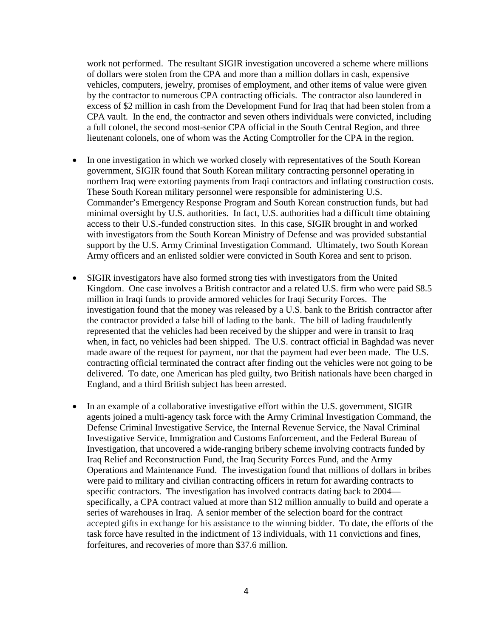work not performed. The resultant SIGIR investigation uncovered a scheme where millions of dollars were stolen from the CPA and more than a million dollars in cash, expensive vehicles, computers, jewelry, promises of employment, and other items of value were given by the contractor to numerous CPA contracting officials. The contractor also laundered in excess of \$2 million in cash from the Development Fund for Iraq that had been stolen from a CPA vault. In the end, the contractor and seven others individuals were convicted, including a full colonel, the second most-senior CPA official in the South Central Region, and three lieutenant colonels, one of whom was the Acting Comptroller for the CPA in the region.

- In one investigation in which we worked closely with representatives of the South Korean government, SIGIR found that South Korean military contracting personnel operating in northern Iraq were extorting payments from Iraqi contractors and inflating construction costs. These South Korean military personnel were responsible for administering U.S. Commander's Emergency Response Program and South Korean construction funds, but had minimal oversight by U.S. authorities. In fact, U.S. authorities had a difficult time obtaining access to their U.S.-funded construction sites. In this case, SIGIR brought in and worked with investigators from the South Korean Ministry of Defense and was provided substantial support by the U.S. Army Criminal Investigation Command. Ultimately, two South Korean Army officers and an enlisted soldier were convicted in South Korea and sent to prison.
- SIGIR investigators have also formed strong ties with investigators from the United Kingdom. One case involves a British contractor and a related U.S. firm who were paid \$8.5 million in Iraqi funds to provide armored vehicles for Iraqi Security Forces. The investigation found that the money was released by a U.S. bank to the British contractor after the contractor provided a false bill of lading to the bank. The bill of lading fraudulently represented that the vehicles had been received by the shipper and were in transit to Iraq when, in fact, no vehicles had been shipped. The U.S. contract official in Baghdad was never made aware of the request for payment, nor that the payment had ever been made. The U.S. contracting official terminated the contract after finding out the vehicles were not going to be delivered. To date, one American has pled guilty, two British nationals have been charged in England, and a third British subject has been arrested.
- In an example of a collaborative investigative effort within the U.S. government, SIGIR agents joined a multi-agency task force with the Army Criminal Investigation Command, the Defense Criminal Investigative Service, the Internal Revenue Service, the Naval Criminal Investigative Service, Immigration and Customs Enforcement, and the Federal Bureau of Investigation, that uncovered a wide-ranging bribery scheme involving contracts funded by Iraq Relief and Reconstruction Fund, the Iraq Security Forces Fund, and the Army Operations and Maintenance Fund. The investigation found that millions of dollars in bribes were paid to military and civilian contracting officers in return for awarding contracts to specific contractors. The investigation has involved contracts dating back to 2004 specifically, a CPA contract valued at more than \$12 million annually to build and operate a series of warehouses in Iraq. A senior member of the selection board for the contract accepted gifts in exchange for his assistance to the winning bidder. To date, the efforts of the task force have resulted in the indictment of 13 individuals, with 11 convictions and fines, forfeitures, and recoveries of more than \$37.6 million.